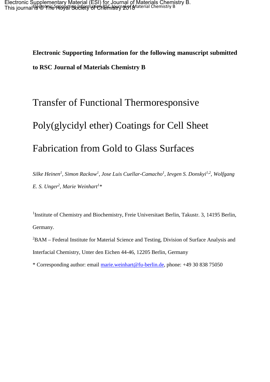**Electronic Supporting Information for the following manuscript submitted to RSC Journal of Materials Chemistry B**

# Transfer of Functional Thermoresponsive Poly(glycidyl ether) Coatings for Cell Sheet Fabrication from Gold to Glass Surfaces

*Silke Heinen1 , Simon Rackow<sup>1</sup> , Jose Luis Cuellar-Camacho1 , Ievgen S. Donskyi1,2, Wolfgang E. S. Unger<sup>2</sup> , Marie Weinhart<sup>1</sup> \** 

<sup>1</sup>Institute of Chemistry and Biochemistry, Freie Universitaet Berlin, Takustr. 3, 14195 Berlin, Germany.

<sup>2</sup>BAM – Federal Institute for Material Science and Testing, Division of Surface Analysis and Interfacial Chemistry, Unter den Eichen 44-46, 12205 Berlin, Germany

\* Corresponding author: email [marie.weinhart@fu-berlin.de,](mailto:marie.weinhart@fu-berlin.de) phone: +49 30 838 75050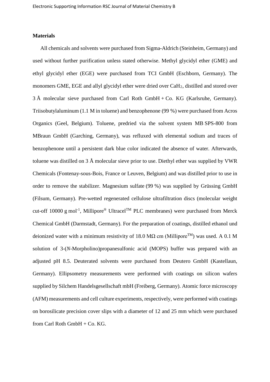### **Materials**

All chemicals and solvents were purchased from Sigma-Aldrich (Steinheim, Germany) and used without further purification unless stated otherwise. Methyl glycidyl ether (GME) and ethyl glycidyl ether (EGE) were purchased from TCI GmbH (Eschborn, Germany). The monomers GME, EGE and allyl glycidyl ether were dried over CaH2, distilled and stored over  $3 \text{ Å}$  molecular sieve purchased from Carl Roth GmbH + Co. KG (Karlsruhe, Germany). Triisobutylaluminum (1.1 M in toluene) and benzophenone (99 %) were purchased from Acros Organics (Geel, Belgium). Toluene, predried via the solvent system MB SPS-800 from MBraun GmbH (Garching, Germany), was refluxed with elemental sodium and traces of benzophenone until a persistent dark blue color indicated the absence of water. Afterwards, toluene was distilled on 3 Å molecular sieve prior to use. Diethyl ether was supplied by VWR Chemicals (Fontenay-sous-Bois, France or Leuven, Belgium) and was distilled prior to use in order to remove the stabilizer. Magnesium sulfate (99 %) was supplied by Grüssing GmbH (Filsum, Germany). Pre-wetted regenerated cellulose ultrafiltration discs (molecular weight cut-off 10000 g mol<sup>-1</sup>, Millipore<sup>®</sup> Ultracel<sup>TM</sup> PLC membranes) were purchased from Merck Chemical GmbH (Darmstadt, Germany). For the preparation of coatings, distilled ethanol und deionized water with a minimum resistivity of 18.0 MQ cm (Millipore<sup>TM</sup>) was used. A 0.1 M solution of 3-(*N*-Morpholino)propanesulfonic acid (MOPS) buffer was prepared with an adjusted pH 8.5. Deuterated solvents were purchased from Deutero GmbH (Kastellaun, Germany). Ellipsometry measurements were performed with coatings on silicon wafers supplied by Silchem Handelsgesellschaft mbH (Freiberg, Germany). Atomic force microscopy (AFM) measurements and cell culture experiments, respectively, were performed with coatings on borosilicate precision cover slips with a diameter of 12 and 25 mm which were purchased from Carl Roth GmbH + Co. KG.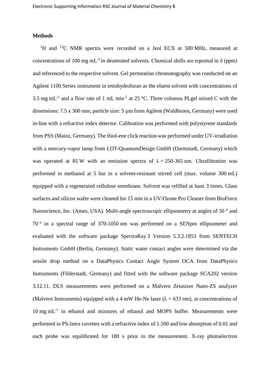### **Methods**

<sup>1</sup>H and <sup>13</sup>C NMR spectra were recorded on a Jeol ECX at 500 MHz, measured at concentrations of 100 mg mL<sup>-1</sup> in deuterated solvents. Chemical shifts are reported in  $\delta$  (ppm) and referenced to the respective solvent. Gel permeation chromatography was conducted on an Agilent 1100 Series instrument in tetrahydrofuran as the eluent solvent with concentrations of 3.5 mg mL<sup>-1</sup> and a flow rate of 1 mL min<sup>-1</sup> at 25 °C. Three columns PLgel mixed C with the dimensions: 7.5 x 300 mm, particle size: 5 µm from Agilent (Waldbronn, Germany) were used in-line with a refractive index detector. Calibration was performed with polystyrene standards from PSS (Mainz, Germany). The thiol-ene click reaction was performed under UV-irradiation with a mercury-vapor lamp from LOT-QuantumDesign GmbH (Darmstadt, Germany) which was operated at 85 W with an emission spectra of  $\lambda = 250-365$  nm. Ultrafiltration was performed in methanol at 5 bar in a solvent-resistant stirred cell (max. volume 300 mL) equipped with a regenerated cellulose membrane. Solvent was refilled at least 3 times. Glass surfaces and silicon wafer were cleaned for 15 min in a UV/Ozone Pro Cleaner from BioForce Nanoscience, Inc. (Ames, USA). Multi-angle spectroscopic ellipsometry at angles of 50 ° and 70 ° in a spectral range of 370-1050 nm was performed on a SENpro ellipsometer and evaluated with the software package SpectraRay 3 Version 5.3.2.1853 from SENTECH Instruments GmbH (Berlin, Germany). Static water contact angles were determined via the sessile drop method on a DataPhysics Contact Angle System OCA from DataPhysics Instruments (Filderstadt, Germany) and fitted with the software package SCA202 version 3.12.11. DLS measurements were performed on a Malvern Zetasizer Nano-ZS analyzer (Malvern Instruments) equipped with a 4 mW He-Ne laser ( $\lambda$  = 633 nm), at concentrations of  $10 \text{ mg } \text{mL}^{-1}$  in ethanol and mixtures of ethanol and MOPS buffer. Measurements were performed in PS-latex cuvettes with a refractive index of 1.590 and low absorption of 0.01 and each probe was equilibrated for 180 s prior to the measurement. X-ray photoelectron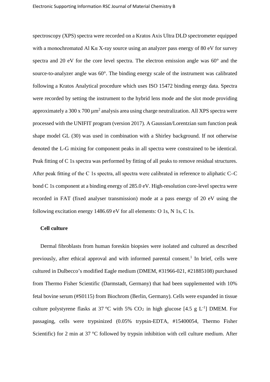spectroscopy (XPS) spectra were recorded on a Kratos Axis Ultra DLD spectrometer equipped with a monochromated Al Kα X-ray source using an analyzer pass energy of 80 eV for survey spectra and 20 eV for the core level spectra. The electron emission angle was 60° and the source-to-analyzer angle was 60°. The binding energy scale of the instrument was calibrated following a Kratos Analytical procedure which uses ISO 15472 binding energy data. Spectra were recorded by setting the instrument to the hybrid lens mode and the slot mode providing approximately a  $300 \times 700 \mu m^2$  analysis area using charge neutralization. All XPS spectra were processed with the UNIFIT program (version 2017). A Gaussian/Lorentzian sum function peak shape model GL (30) was used in combination with a Shirley background. If not otherwise denoted the L-G mixing for component peaks in all spectra were constrained to be identical. Peak fitting of C 1s spectra was performed by fitting of all peaks to remove residual structures. After peak fitting of the C 1s spectra, all spectra were calibrated in reference to aliphatic C–C bond C 1s component at a binding energy of 285.0 eV. High-resolution core-level spectra were recorded in FAT (fixed analyser transmission) mode at a pass energy of 20 eV using the following excitation energy 1486.69 eV for all elements: O 1s, N 1s, C 1s.

#### **Cell culture**

Dermal fibroblasts from human foreskin biopsies were isolated and cultured as described previously, after ethical approval and with informed parental consent.<sup>1</sup> In brief, cells were cultured in Dulbecco's modified Eagle medium (DMEM, #31966-021, #21885108) purchased from Thermo Fisher Scientific (Darmstadt, Germany) that had been supplemented with 10% fetal bovine serum (#S0115) from Biochrom (Berlin, Germany). Cells were expanded in tissue culture polystyrene flasks at 37 °C with 5%  $CO<sub>2</sub>$  in high glucose [4.5 g L<sup>-1</sup>] DMEM. For passaging, cells were trypsinized (0.05% trypsin-EDTA, #15400054, Thermo Fisher Scientific) for 2 min at 37 °C followed by trypsin inhibition with cell culture medium. After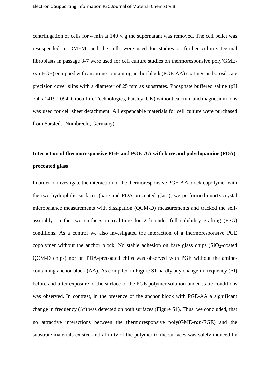centrifugation of cells for 4 min at  $140 \times g$  the supernatant was removed. The cell pellet was resuspended in DMEM, and the cells were used for studies or further culture. Dermal fibroblasts in passage 3-7 were used for cell culture studies on thermoresponsive poly(GME*ran*-EGE) equipped with an amine-containing anchor block (PGE-AA) coatings on borosilicate precision cover slips with a diameter of 25 mm as substrates. Phosphate buffered saline (pH 7.4, #14190-094, Gibco Life Technologies, Paisley, UK) without calcium and magnesium ions was used for cell sheet detachment. All expendable materials for cell culture were purchased from Sarstedt (Nümbrecht, Germany).

### **Interaction of thermoresponsive PGE and PGE-AA with bare and polydopamine (PDA) precoated glass**

In order to investigate the interaction of the thermoresponsive PGE-AA block copolymer with the two hydrophilic surfaces (bare and PDA-precoated glass), we performed quartz crystal microbalance measurements with dissipation (QCM-D) measurements and tracked the selfassembly on the two surfaces in real-time for 2 h under full solubility grafting (FSG) conditions. As a control we also investigated the interaction of a thermoresponsive PGE copolymer without the anchor block. No stable adhesion on bare glass chips  $(SiO<sub>2</sub>-coated$ QCM-D chips) nor on PDA-precoated chips was observed with PGE without the aminecontaining anchor block (AA). As compiled in Figure S1 hardly any change in frequency ( $\Delta f$ ) before and after exposure of the surface to the PGE polymer solution under static conditions was observed. In contrast, in the presence of the anchor block with PGE-AA a significant change in frequency (∆f) was detected on both surfaces (Figure S1). Thus, we concluded, that no attractive interactions between the thermoresponsive poly(GME-*ran*-EGE) and the substrate materials existed and affinity of the polymer to the surfaces was solely induced by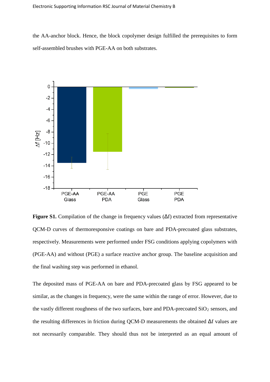the AA-anchor block. Hence, the block copolymer design fulfilled the prerequisites to form self-assembled brushes with PGE-AA on both substrates.



**Figure S1.** Compilation of the change in frequency values (Δf) extracted from representative QCM-D curves of thermoresponsive coatings on bare and PDA-precoated glass substrates, respectively. Measurements were performed under FSG conditions applying copolymers with (PGE-AA) and without (PGE) a surface reactive anchor group. The baseline acquisition and the final washing step was performed in ethanol.

The deposited mass of PGE-AA on bare and PDA-precoated glass by FSG appeared to be similar, as the changes in frequency, were the same within the range of error. However, due to the vastly different roughness of the two surfaces, bare and PDA-precoated  $SiO<sub>2</sub>$  sensors, and the resulting differences in friction during QCM-D measurements the obtained Δf values are not necessarily comparable. They should thus not be interpreted as an equal amount of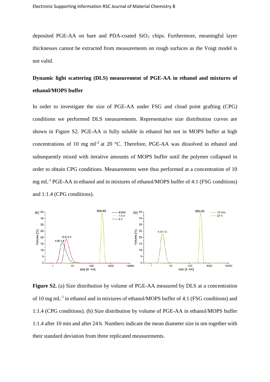deposited PGE-AA on bare and PDA-coated  $SiO<sub>2</sub>$  chips. Furthermore, meaningful layer thicknesses cannot be extracted from measurements on rough surfaces as the Voigt model is not valid.

## **Dynamic light scattering (DLS) measurement of PGE-AA in ethanol and mixtures of ethanol/MOPS buffer**

In order to investigate the size of PGE-AA under FSG and cloud point grafting (CPG) conditions we performed DLS measurements. Representative size distribution curves are shown in Figure S2. PGE-AA is fully soluble in ethanol but not in MOPS buffer at high concentrations of 10 mg ml<sup>-2</sup> at 20 °C. Therefore, PGE-AA was dissolved in ethanol and subsequently mixed with iterative amounts of MOPS buffer until the polymer collapsed in order to obtain CPG conditions. Measurements were thus performed at a concentration of 10 mg mL-1 PGE-AA in ethanol and in mixtures of ethanol/MOPS buffer of 4:1 (FSG conditions) and 1:1.4 (CPG conditions).



**Figure S2.** (a) Size distribution by volume of PGE-AA measured by DLS at a concentration of 10 mg mL-1 in ethanol and in mixtures of ethanol/MOPS buffer of 4:1 (FSG conditions) and 1:1.4 (CPG conditions). (b) Size distribution by volume of PGE-AA in ethanol/MOPS buffer 1:1.4 after 10 min and after 24 h. Numbers indicate the mean diameter size in nm together with their standard deviation from three replicated measurements.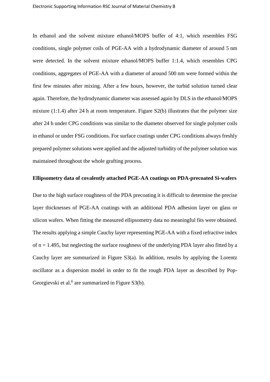In ethanol and the solvent mixture ethanol/MOPS buffer of 4:1, which resembles FSG conditions, single polymer coils of PGE-AA with a hydrodynamic diameter of around 5 nm were detected. In the solvent mixture ethanol/MOPS buffer 1:1.4, which resembles CPG conditions, aggregates of PGE-AA with a diameter of around 500 nm were formed within the first few minutes after mixing. After a few hours, however, the turbid solution turned clear again. Therefore, the hydrodynamic diameter was assessed again by DLS in the ethanol/MOPS mixture (1:1.4) after 24 h at room temperature. Figure S2(b) illustrates that the polymer size after 24 h under CPG conditions was similar to the diameter observed for single polymer coils in ethanol or under FSG conditions. For surface coatings under CPG conditions always freshly prepared polymer solutions were applied and the adjusted turbidity of the polymer solution was maintained throughout the whole grafting process.

### **Ellipsometry data of covalently attached PGE-AA coatings on PDA-precoated Si-wafers**

Due to the high surface roughness of the PDA precoating it is difficult to determine the precise layer thicknesses of PGE-AA coatings with an additional PDA adhesion layer on glass or silicon wafers. When fitting the measured ellipsometry data no meaningful fits were obtained. The results applying a simple Cauchy layer representing PGE-AA with a fixed refractive index of  $n = 1.495$ , but neglecting the surface roughness of the underlying PDA layer also fitted by a Cauchy layer are summarized in Figure S3(a). In addition, results by applying the Lorentz oscillator as a dispersion model in order to fit the rough PDA layer as described by Pop-Georgievski et al. $<sup>6</sup>$  are summarized in Figure S3(b).</sup>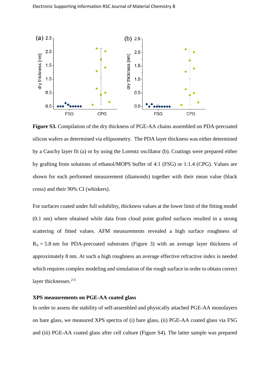

**Figure S3.** Compilation of the dry thickness of PGE-AA chains assembled on PDA-precoated silicon wafers as determined via ellipsometry. The PDA layer thickness was either determined by a Cauchy layer fit (a) or by using the Lorentz oscillator (b). Coatings were prepared either by grafting from solutions of ethanol/MOPS buffer of 4:1 (FSG) or 1:1.4 (CPG). Values are shown for each performed measurement (diamonds) together with their mean value (black cross) and their 90% CI (whiskers).

For surfaces coated under full solubility, thickness values at the lower limit of the fitting model (0.1 nm) where obtained while data from cloud point grafted surfaces resulted in a strong scattering of fitted values. AFM measurements revealed a high surface roughness of  $R_q = 5.8$  nm for PDA-precoated substrates (Figure 3) with an average layer thickness of approximately 8 nm. At such a high roughness an average effective refractive index is needed which requires complex modeling and simulation of the rough surface in order to obtain correct layer thicknesses. 2-5

### **XPS measurements on PGE-AA coated glass**

In order to assess the stability of self-assembled and physically attached PGE-AA monolayers on bare glass, we measured XPS spectra of (i) bare glass, (ii) PGE-AA coated glass via FSG and (iii) PGE-AA coated glass after cell culture (Figure S4). The latter sample was prepared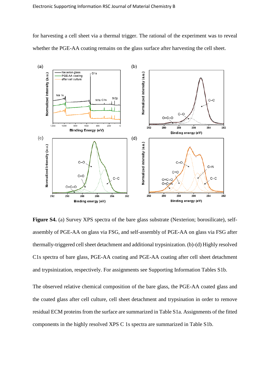for harvesting a cell sheet via a thermal trigger. The rational of the experiment was to reveal whether the PGE-AA coating remains on the glass surface after harvesting the cell sheet.



**Figure S4.** (a) Survey XPS spectra of the bare glass substrate (Nexterion; borosilicate), selfassembly of PGE-AA on glass via FSG, and self-assembly of PGE-AA on glass via FSG after thermally-triggered cell sheet detachment and additional trypsinization. (b)-(d) Highly resolved C1s spectra of bare glass, PGE-AA coating and PGE-AA coating after cell sheet detachment and trypsinization, respectively. For assignments see Supporting Information Tables S1b.

The observed relative chemical composition of the bare glass, the PGE-AA coated glass and the coated glass after cell culture, cell sheet detachment and trypsination in order to remove residual ECM proteins from the surface are summarized in Table S1a. Assignments of the fitted components in the highly resolved XPS C 1s spectra are summarized in Table S1b.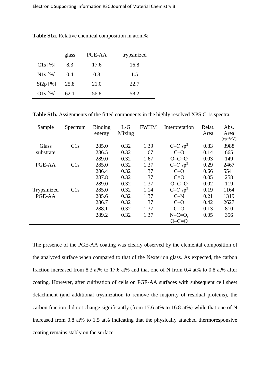|            | glass | PGE-AA | trypsinized |
|------------|-------|--------|-------------|
| $C1s$ [%]  | 8.3   | 17.6   | 16.8        |
| $N1s$ [%]  | 0.4   | 0.8    | 1.5         |
| $Si2p$ [%] | 25.8  | 21.0   | 22.7        |
| $O1s$ [%]  | 62.1  | 56.8   | 58.2        |

**Table S1a.** Relative chemical composition in atom%.

Table S1b. Assignments of the fitted components in the highly resolved XPS C 1s spectra.

| Sample      | Spectrum | <b>Binding</b> | $L-G$  | <b>FWHM</b> | Interpretation        | Relat. | Abs.     |
|-------------|----------|----------------|--------|-------------|-----------------------|--------|----------|
|             |          | energy         | Mixing |             |                       | Area   | Area     |
|             |          |                |        |             |                       |        | [cps*eV] |
| Glass       | C1s      | 285.0          | 0.32   | 1.39        | $C-C$ sp <sup>3</sup> | 0.83   | 3988     |
| substrate   |          | 286.5          | 0.32   | 1.67        | $C=O$                 | 0.14   | 665      |
|             |          | 289.0          | 0.32   | 1.67        | $O-C=O$               | 0.03   | 149      |
| PGE-AA      | C1s      | 285.0          | 0.32   | 1.37        | $C-C$ sp <sup>3</sup> | 0.29   | 2467     |
|             |          | 286.4          | 0.32   | 1.37        | $C-O$                 | 0.66   | 5541     |
|             |          | 287.8          | 0.32   | 1.37        | $C=O$                 | 0.05   | 258      |
|             |          | 289.0          | 0.32   | 1.37        | $O-C=O$               | 0.02   | 119      |
| Trypsinized | C1s      | 285.0          | 0.32   | 1.14        | $C-C$ sp <sup>3</sup> | 0.19   | 1164     |
| PGE-AA      |          | 285.6          | 0.32   | 1.37        | $C-N$                 | 0.21   | 1319     |
|             |          | 286.7          | 0.32   | 1.37        | $C-O$                 | 0.42   | 2627     |
|             |          | 288.1          | 0.32   | 1.37        | $C=O$                 | 0.13   | 810      |
|             |          | 289.2          | 0.32   | 1.37        | $N-C=O$ ,             | 0.05   | 356      |
|             |          |                |        |             | $O-C=O$               |        |          |

The presence of the PGE-AA coating was clearly observed by the elemental composition of the analyzed surface when compared to that of the Nexterion glass. As expected, the carbon fraction increased from 8.3 at% to 17.6 at% and that one of N from 0.4 at% to 0.8 at% after coating. However, after cultivation of cells on PGE-AA surfaces with subsequent cell sheet detachment (and additional trysinization to remove the majority of residual proteins), the carbon fraction did not change significantly (from 17.6 at% to 16.8 at%) while that one of N increased from 0.8 at% to 1.5 at% indicating that the physically attached thermoresponsive coating remains stably on the surface.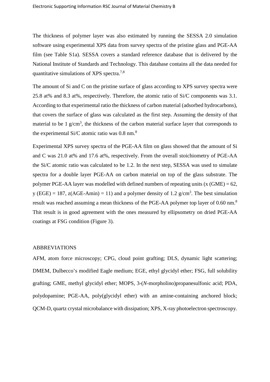The thickness of polymer layer was also estimated by running the SESSA 2.0 simulation software using experimental XPS data from survey spectra of the pristine glass and PGE-AA film (see Table S1a). SESSA covers a standard reference database that is delivered by the National Institute of Standards and Technology. This database contains all the data needed for quantitative simulations of XPS spectra.<sup>7,8</sup>

The amount of Si and C on the pristine surface of glass according to XPS survey spectra were 25.8 at% and 8.3 at%, respectively. Therefore, the atomic ratio of Si/C components was 3.1. According to that experimental ratio the thickness of carbon material (adsorbed hydrocarbons), that covers the surface of glass was calculated as the first step. Assuming the density of that material to be  $1 \text{ g/cm}^3$ , the thickness of the carbon material surface layer that corresponds to the experimental Si/C atomic ratio was 0.8 nm.<sup>8</sup>

Experimental XPS survey spectra of the PGE-AA film on glass showed that the amount of Si and C was 21.0 at% and 17.6 at%, respectively. From the overall stoichiometry of PGE-AA the Si/C atomic ratio was calculated to be 1.2. In the next step, SESSA was used to simulate spectra for a double layer PGE-AA on carbon material on top of the glass substrate. The polymer PGE-AA layer was modelled with defined numbers of repeating units (x  $(GME) = 62$ , y (EGE) = 187,  $z(AGE-Amin) = 11$ ) and a polymer density of 1.2  $g/cm<sup>3</sup>$ . The best simulation result was reached assuming a mean thickness of the PGE-AA polymer top layer of 0.60 nm.<sup>8</sup> Thit result is in good agreement with the ones measured by ellipsometry on dried PGE-AA coatings at FSG condition (Figure 3).

### ABBREVIATIONS

AFM, atom force microscopy; CPG, cloud point grafting; DLS, dynamic light scattering; DMEM, Dulbecco's modified Eagle medium; EGE, ethyl glycidyl ether; FSG, full solubility grafting; GME, methyl glycidyl ether; MOPS, 3-(*N*-morpholino)propanesulfonic acid; PDA, polydopamine; PGE-AA, poly(glycidyl ether) with an amine-containing anchored block; QCM-D, quartz crystal microbalance with dissipation; XPS, X-ray photoelectron spectroscopy.